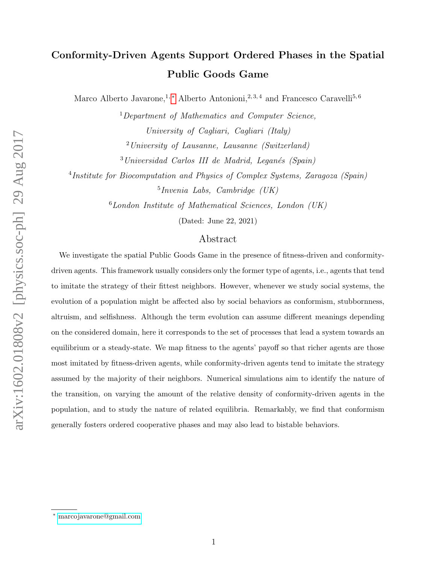## Conformity-Driven Agents Support Ordered Phases in the Spatial Public Goods Game

Marco Alberto Javarone,<sup>1,\*</sup> Alberto Antonioni,<sup>2,3,4</sup> and Francesco Caravelli<sup>5,6</sup>

<sup>1</sup>Department of Mathematics and Computer Science, University of Cagliari, Cagliari (Italy)  $2$ University of Lausanne, Lausanne (Switzerland)

 $3$ Universidad Carlos III de Madrid, Leganés (Spain)

<sup>4</sup>Institute for Biocomputation and Physics of Complex Systems, Zaragoza (Spain)

5 Invenia Labs, Cambridge (UK)

<sup>6</sup>London Institute of Mathematical Sciences, London (UK)

(Dated: June 22, 2021)

## Abstract

We investigate the spatial Public Goods Game in the presence of fitness-driven and conformitydriven agents. This framework usually considers only the former type of agents, i.e., agents that tend to imitate the strategy of their fittest neighbors. However, whenever we study social systems, the evolution of a population might be affected also by social behaviors as conformism, stubbornness, altruism, and selfishness. Although the term evolution can assume different meanings depending on the considered domain, here it corresponds to the set of processes that lead a system towards an equilibrium or a steady-state. We map fitness to the agents' payoff so that richer agents are those most imitated by fitness-driven agents, while conformity-driven agents tend to imitate the strategy assumed by the majority of their neighbors. Numerical simulations aim to identify the nature of the transition, on varying the amount of the relative density of conformity-driven agents in the population, and to study the nature of related equilibria. Remarkably, we find that conformism generally fosters ordered cooperative phases and may also lead to bistable behaviors.

<span id="page-0-0"></span><sup>∗</sup> [marcojavarone@gmail.com](mailto:marcojavarone@gmail.com)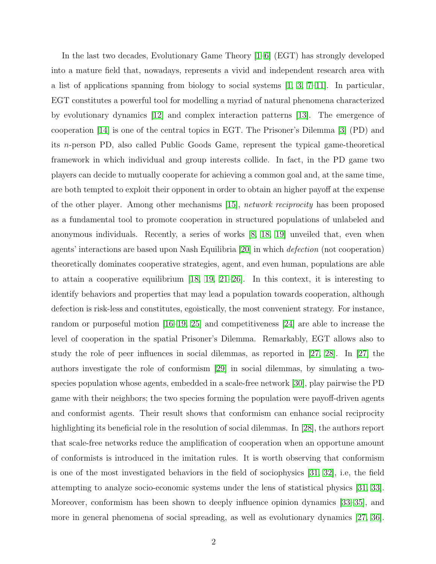In the last two decades, Evolutionary Game Theory [\[1–](#page-10-0)[6\]](#page-10-1) (EGT) has strongly developed into a mature field that, nowadays, represents a vivid and independent research area with a list of applications spanning from biology to social systems [\[1,](#page-10-0) [3,](#page-10-2) [7–](#page-10-3)[11\]](#page-10-4). In particular, EGT constitutes a powerful tool for modelling a myriad of natural phenomena characterized by evolutionary dynamics [\[12\]](#page-10-5) and complex interaction patterns [\[13\]](#page-11-0). The emergence of cooperation [\[14\]](#page-11-1) is one of the central topics in EGT. The Prisoner's Dilemma [\[3\]](#page-10-2) (PD) and its n-person PD, also called Public Goods Game, represent the typical game-theoretical framework in which individual and group interests collide. In fact, in the PD game two players can decide to mutually cooperate for achieving a common goal and, at the same time, are both tempted to exploit their opponent in order to obtain an higher payoff at the expense of the other player. Among other mechanisms [\[15\]](#page-11-2), network reciprocity has been proposed as a fundamental tool to promote cooperation in structured populations of unlabeled and anonymous individuals. Recently, a series of works [\[8,](#page-10-6) [18,](#page-11-3) [19\]](#page-11-4) unveiled that, even when agents' interactions are based upon Nash Equilibria [\[20\]](#page-11-5) in which defection (not cooperation) theoretically dominates cooperative strategies, agent, and even human, populations are able to attain a cooperative equilibrium  $[18, 19, 21-26]$  $[18, 19, 21-26]$  $[18, 19, 21-26]$  $[18, 19, 21-26]$ . In this context, it is interesting to identify behaviors and properties that may lead a population towards cooperation, although defection is risk-less and constitutes, egoistically, the most convenient strategy. For instance, random or purposeful motion [\[16](#page-11-8)[–19,](#page-11-4) [25\]](#page-11-9) and competitiveness [\[24\]](#page-11-10) are able to increase the level of cooperation in the spatial Prisoner's Dilemma. Remarkably, EGT allows also to study the role of peer influences in social dilemmas, as reported in [\[27,](#page-11-11) [28\]](#page-11-12). In [\[27\]](#page-11-11) the authors investigate the role of conformism [\[29\]](#page-11-13) in social dilemmas, by simulating a twospecies population whose agents, embedded in a scale-free network [\[30\]](#page-12-0), play pairwise the PD game with their neighbors; the two species forming the population were payoff-driven agents and conformist agents. Their result shows that conformism can enhance social reciprocity highlighting its beneficial role in the resolution of social dilemmas. In [\[28\]](#page-11-12), the authors report that scale-free networks reduce the amplification of cooperation when an opportune amount of conformists is introduced in the imitation rules. It is worth observing that conformism is one of the most investigated behaviors in the field of sociophysics [\[31,](#page-12-1) [32\]](#page-12-2), i.e, the field attempting to analyze socio-economic systems under the lens of statistical physics [\[31,](#page-12-1) [33\]](#page-12-3). Moreover, conformism has been shown to deeply influence opinion dynamics [\[33–](#page-12-3)[35\]](#page-12-4), and more in general phenomena of social spreading, as well as evolutionary dynamics [\[27,](#page-11-11) [36\]](#page-12-5).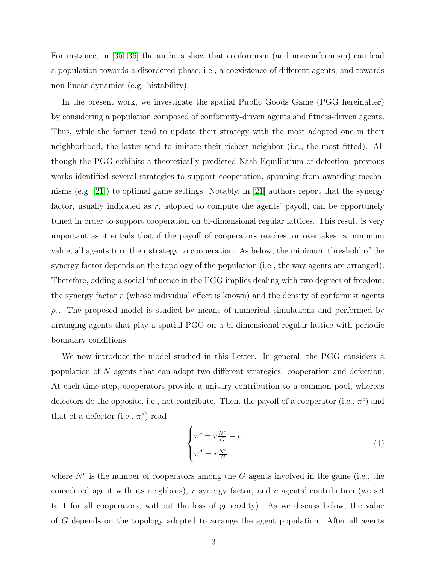For instance, in [\[35,](#page-12-4) [36\]](#page-12-5) the authors show that conformism (and nonconformism) can lead a population towards a disordered phase, i.e., a coexistence of different agents, and towards non-linear dynamics (e.g. bistability).

In the present work, we investigate the spatial Public Goods Game (PGG hereinafter) by considering a population composed of conformity-driven agents and fitness-driven agents. Thus, while the former tend to update their strategy with the most adopted one in their neighborhood, the latter tend to imitate their richest neighbor (i.e., the most fitted). Although the PGG exhibits a theoretically predicted Nash Equilibrium of defection, previous works identified several strategies to support cooperation, spanning from awarding mechanisms (e.g. [\[21\]](#page-11-6)) to optimal game settings. Notably, in [\[21\]](#page-11-6) authors report that the synergy factor, usually indicated as  $r$ , adopted to compute the agents' payoff, can be opportunely tuned in order to support cooperation on bi-dimensional regular lattices. This result is very important as it entails that if the payoff of cooperators reaches, or overtakes, a minimum value, all agents turn their strategy to cooperation. As below, the minimum threshold of the synergy factor depends on the topology of the population (i.e., the way agents are arranged). Therefore, adding a social influence in the PGG implies dealing with two degrees of freedom: the synergy factor  $r$  (whose individual effect is known) and the density of conformist agents  $\rho_c$ . The proposed model is studied by means of numerical simulations and performed by arranging agents that play a spatial PGG on a bi-dimensional regular lattice with periodic boundary conditions.

We now introduce the model studied in this Letter. In general, the PGG considers a population of N agents that can adopt two different strategies: cooperation and defection. At each time step, cooperators provide a unitary contribution to a common pool, whereas defectors do the opposite, i.e., not contribute. Then, the payoff of a cooperator (i.e.,  $\pi^c$ ) and that of a defector (i.e.,  $\pi^d$ ) read

$$
\begin{cases} \pi^c = r \frac{N^c}{G} - c \\ \pi^d = r \frac{N^c}{G} \end{cases} \tag{1}
$$

where  $N^c$  is the number of cooperators among the G agents involved in the game (i.e., the considered agent with its neighbors),  $r$  synergy factor, and  $c$  agents' contribution (we set to 1 for all cooperators, without the loss of generality). As we discuss below, the value of G depends on the topology adopted to arrange the agent population. After all agents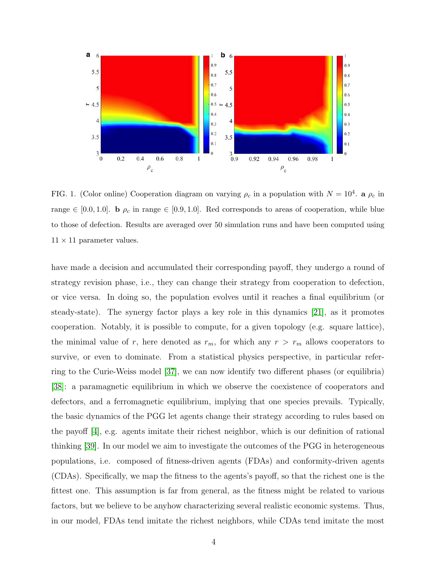

<span id="page-3-0"></span>FIG. 1. (Color online) Cooperation diagram on varying  $\rho_c$  in a population with  $N = 10^4$ . **a**  $\rho_c$  in range  $\in [0.0, 1.0]$ . **b**  $\rho_c$  in range  $\in [0.9, 1.0]$ . Red corresponds to areas of cooperation, while blue to those of defection. Results are averaged over 50 simulation runs and have been computed using  $11 \times 11$  parameter values.

have made a decision and accumulated their corresponding payoff, they undergo a round of strategy revision phase, i.e., they can change their strategy from cooperation to defection, or vice versa. In doing so, the population evolves until it reaches a final equilibrium (or steady-state). The synergy factor plays a key role in this dynamics [\[21\]](#page-11-6), as it promotes cooperation. Notably, it is possible to compute, for a given topology (e.g. square lattice), the minimal value of r, here denoted as  $r_m$ , for which any  $r > r_m$  allows cooperators to survive, or even to dominate. From a statistical physics perspective, in particular referring to the Curie-Weiss model [\[37\]](#page-12-6), we can now identify two different phases (or equilibria) [\[38\]](#page-12-7): a paramagnetic equilibrium in which we observe the coexistence of cooperators and defectors, and a ferromagnetic equilibrium, implying that one species prevails. Typically, the basic dynamics of the PGG let agents change their strategy according to rules based on the payoff [\[4\]](#page-10-7), e.g. agents imitate their richest neighbor, which is our definition of rational thinking [\[39\]](#page-12-8). In our model we aim to investigate the outcomes of the PGG in heterogeneous populations, i.e. composed of fitness-driven agents (FDAs) and conformity-driven agents (CDAs). Specifically, we map the fitness to the agents's payoff, so that the richest one is the fittest one. This assumption is far from general, as the fitness might be related to various factors, but we believe to be anyhow characterizing several realistic economic systems. Thus, in our model, FDAs tend imitate the richest neighbors, while CDAs tend imitate the most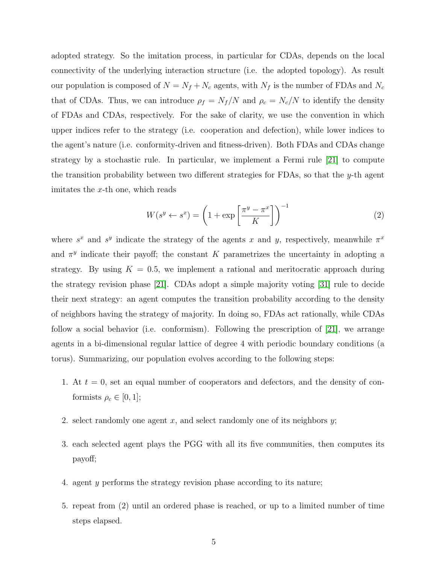adopted strategy. So the imitation process, in particular for CDAs, depends on the local connectivity of the underlying interaction structure (i.e. the adopted topology). As result our population is composed of  $N = N_f + N_c$  agents, with  $N_f$  is the number of FDAs and  $N_c$ that of CDAs. Thus, we can introduce  $\rho_f = N_f/N$  and  $\rho_c = N_c/N$  to identify the density of FDAs and CDAs, respectively. For the sake of clarity, we use the convention in which upper indices refer to the strategy (i.e. cooperation and defection), while lower indices to the agent's nature (i.e. conformity-driven and fitness-driven). Both FDAs and CDAs change strategy by a stochastic rule. In particular, we implement a Fermi rule [\[21\]](#page-11-6) to compute the transition probability between two different strategies for FDAs, so that the y-th agent imitates the x-th one, which reads

$$
W(s^y \leftarrow s^x) = \left(1 + \exp\left[\frac{\pi^y - \pi^x}{K}\right]\right)^{-1}
$$
 (2)

where  $s^x$  and  $s^y$  indicate the strategy of the agents x and y, respectively, meanwhile  $\pi^x$ and  $\pi^y$  indicate their payoff; the constant K parametrizes the uncertainty in adopting a strategy. By using  $K = 0.5$ , we implement a rational and meritocratic approach during the strategy revision phase [\[21\]](#page-11-6). CDAs adopt a simple majority voting [\[31\]](#page-12-1) rule to decide their next strategy: an agent computes the transition probability according to the density of neighbors having the strategy of majority. In doing so, FDAs act rationally, while CDAs follow a social behavior (i.e. conformism). Following the prescription of [\[21\]](#page-11-6), we arrange agents in a bi-dimensional regular lattice of degree 4 with periodic boundary conditions (a torus). Summarizing, our population evolves according to the following steps:

- 1. At  $t = 0$ , set an equal number of cooperators and defectors, and the density of conformists  $\rho_c \in [0,1]$ ;
- 2. select randomly one agent  $x$ , and select randomly one of its neighbors  $y$ ;
- 3. each selected agent plays the PGG with all its five communities, then computes its payoff;
- 4. agent y performs the strategy revision phase according to its nature;
- 5. repeat from (2) until an ordered phase is reached, or up to a limited number of time steps elapsed.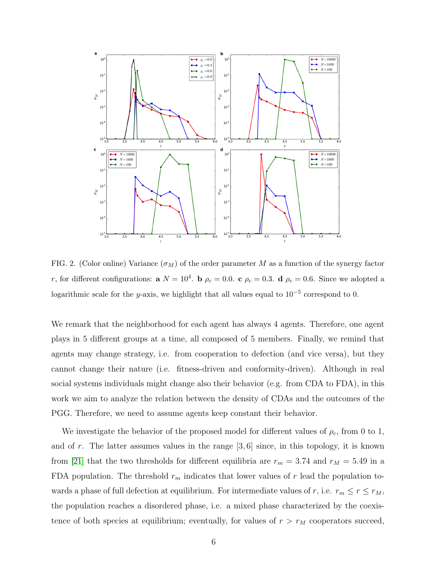

<span id="page-5-0"></span>FIG. 2. (Color online) Variance  $(\sigma_M)$  of the order parameter M as a function of the synergy factor r, for different configurations: **a**  $N = 10^4$ . **b**  $\rho_c = 0.0$ . **c**  $\rho_c = 0.3$ . **d**  $\rho_c = 0.6$ . Since we adopted a logarithmic scale for the y-axis, we highlight that all values equal to  $10^{-5}$  correspond to 0.

We remark that the neighborhood for each agent has always 4 agents. Therefore, one agent plays in 5 different groups at a time, all composed of 5 members. Finally, we remind that agents may change strategy, i.e. from cooperation to defection (and vice versa), but they cannot change their nature (i.e. fitness-driven and conformity-driven). Although in real social systems individuals might change also their behavior (e.g. from CDA to FDA), in this work we aim to analyze the relation between the density of CDAs and the outcomes of the PGG. Therefore, we need to assume agents keep constant their behavior.

We investigate the behavior of the proposed model for different values of  $\rho_c$ , from 0 to 1, and of r. The latter assumes values in the range  $[3, 6]$  since, in this topology, it is known from [\[21\]](#page-11-6) that the two thresholds for different equilibria are  $r_m = 3.74$  and  $r_M = 5.49$  in a FDA population. The threshold  $r_m$  indicates that lower values of r lead the population towards a phase of full defection at equilibrium. For intermediate values of r, i.e.  $r_m \leq r \leq r_M$ , the population reaches a disordered phase, i.e. a mixed phase characterized by the coexistence of both species at equilibrium; eventually, for values of  $r > r_M$  cooperators succeed,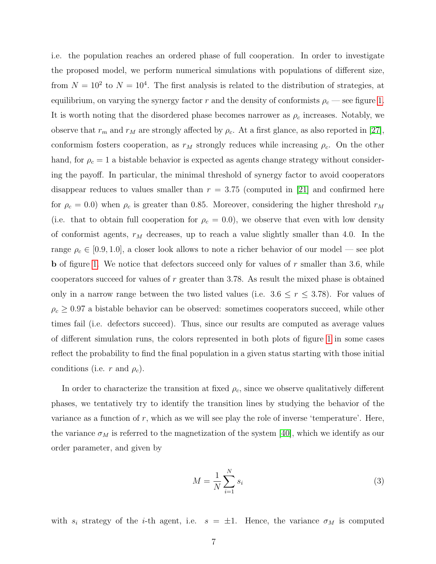i.e. the population reaches an ordered phase of full cooperation. In order to investigate the proposed model, we perform numerical simulations with populations of different size, from  $N = 10^2$  to  $N = 10^4$ . The first analysis is related to the distribution of strategies, at equilibrium, on varying the synergy factor r and the density of conformists  $\rho_c$  — see figure [1.](#page-3-0) It is worth noting that the disordered phase becomes narrower as  $\rho_c$  increases. Notably, we observe that  $r_m$  and  $r_M$  are strongly affected by  $\rho_c$ . At a first glance, as also reported in [\[27\]](#page-11-11), conformism fosters cooperation, as  $r_M$  strongly reduces while increasing  $\rho_c$ . On the other hand, for  $\rho_c = 1$  a bistable behavior is expected as agents change strategy without considering the payoff. In particular, the minimal threshold of synergy factor to avoid cooperators disappear reduces to values smaller than  $r = 3.75$  (computed in [\[21\]](#page-11-6) and confirmed here for  $\rho_c = 0.0$ ) when  $\rho_c$  is greater than 0.85. Moreover, considering the higher threshold  $r_M$ (i.e. that to obtain full cooperation for  $\rho_c = 0.0$ ), we observe that even with low density of conformist agents,  $r_M$  decreases, up to reach a value slightly smaller than 4.0. In the range  $\rho_c \in [0.9, 1.0]$ , a closer look allows to note a richer behavior of our model — see plot **b** of figure [1.](#page-3-0) We notice that defectors succeed only for values of  $r$  smaller than 3.6, while cooperators succeed for values of r greater than 3.78. As result the mixed phase is obtained only in a narrow range between the two listed values (i.e.  $3.6 \le r \le 3.78$ ). For values of  $\rho_c \geq 0.97$  a bistable behavior can be observed: sometimes cooperators succeed, while other times fail (i.e. defectors succeed). Thus, since our results are computed as average values of different simulation runs, the colors represented in both plots of figure [1](#page-3-0) in some cases reflect the probability to find the final population in a given status starting with those initial conditions (i.e. r and  $\rho_c$ ).

In order to characterize the transition at fixed  $\rho_c$ , since we observe qualitatively different phases, we tentatively try to identify the transition lines by studying the behavior of the variance as a function of  $r$ , which as we will see play the role of inverse 'temperature'. Here, the variance  $\sigma_M$  is referred to the magnetization of the system [\[40\]](#page-12-9), which we identify as our order parameter, and given by

$$
M = \frac{1}{N} \sum_{i=1}^{N} s_i
$$
\n
$$
(3)
$$

with  $s_i$  strategy of the *i*-th agent, i.e.  $s = \pm 1$ . Hence, the variance  $\sigma_M$  is computed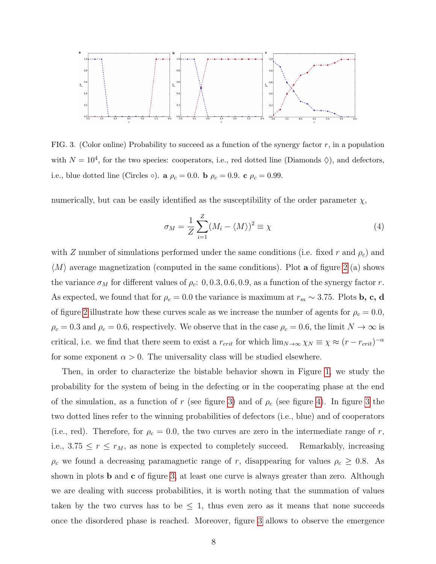

<span id="page-7-0"></span>FIG. 3. (Color online) Probability to succeed as a function of the synergy factor  $r$ , in a population with  $N = 10^4$ , for the two species: cooperators, i.e., red dotted line (Diamonds  $\Diamond$ ), and defectors, i.e., blue dotted line (Circles  $\circ$ ). **a**  $\rho_c = 0.0$ . **b**  $\rho_c = 0.9$ . **c**  $\rho_c = 0.99$ .

numerically, but can be easily identified as the susceptibility of the order parameter  $\chi$ ,

$$
\sigma_M = \frac{1}{Z} \sum_{i=1}^{Z} (M_i - \langle M \rangle)^2 \equiv \chi \tag{4}
$$

with Z number of simulations performed under the same conditions (i.e. fixed r and  $\rho_c$ ) and  $\langle M \rangle$  average magnetization (computed in the same conditions). Plot **a** of figure [2](#page-5-0) (a) shows the variance  $\sigma_M$  for different values of  $\rho_c$ : 0, 0.3, 0.6, 0.9, as a function of the synergy factor r. As expected, we found that for  $\rho_c = 0.0$  the variance is maximum at  $r_m \sim 3.75$ . Plots **b**, **c**, **d** of figure [2](#page-5-0) illustrate how these curves scale as we increase the number of agents for  $\rho_c = 0.0$ ,  $\rho_c = 0.3$  and  $\rho_c = 0.6$ , respectively. We observe that in the case  $\rho_c = 0.6$ , the limit  $N \to \infty$  is critical, i.e. we find that there seem to exist a  $r_{crit}$  for which  $\lim_{N\to\infty}\chi_N \equiv \chi \approx (r - r_{crit})^{-\alpha}$ for some exponent  $\alpha > 0$ . The universality class will be studied elsewhere.

Then, in order to characterize the bistable behavior shown in Figure [1,](#page-3-0) we study the probability for the system of being in the defecting or in the cooperating phase at the end of the simulation, as a function of r (see figure [3\)](#page-7-0) and of  $\rho_c$  (see figure [4\)](#page-8-0). In figure [3](#page-7-0) the two dotted lines refer to the winning probabilities of defectors (i.e., blue) and of cooperators (i.e., red). Therefore, for  $\rho_c = 0.0$ , the two curves are zero in the intermediate range of r, i.e.,  $3.75 \le r \le r_M$ , as none is expected to completely succeed. Remarkably, increasing  $\rho_c$  we found a decreasing paramagnetic range of r, disappearing for values  $\rho_c \geq 0.8$ . As shown in plots **b** and **c** of figure [3,](#page-7-0) at least one curve is always greater than zero. Although we are dealing with success probabilities, it is worth noting that the summation of values taken by the two curves has to be  $\leq 1$ , thus even zero as it means that none succeeds once the disordered phase is reached. Moreover, figure [3](#page-7-0) allows to observe the emergence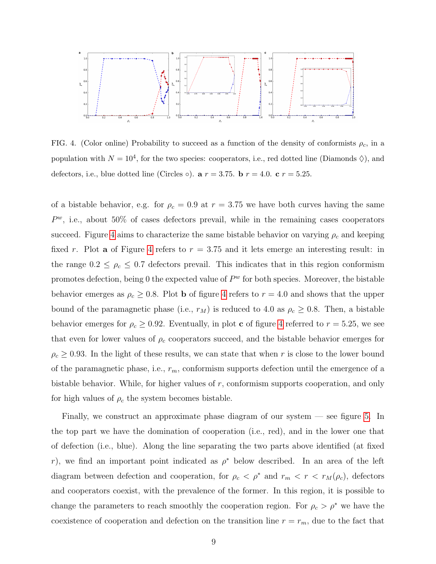

<span id="page-8-0"></span>FIG. 4. (Color online) Probability to succeed as a function of the density of conformists  $\rho_c$ , in a population with  $N = 10^4$ , for the two species: cooperators, i.e., red dotted line (Diamonds  $\Diamond$ ), and defectors, i.e., blue dotted line (Circles  $\circ$ ). a  $r = 3.75$ . b  $r = 4.0$ . c  $r = 5.25$ .

of a bistable behavior, e.g. for  $\rho_c = 0.9$  at  $r = 3.75$  we have both curves having the same  $P^w$ , i.e., about 50% of cases defectors prevail, while in the remaining cases cooperators succeed. Figure [4](#page-8-0) aims to characterize the same bistable behavior on varying  $\rho_c$  and keeping fixed r. Plot **a** of Figure [4](#page-8-0) refers to  $r = 3.75$  and it lets emerge an interesting result: in the range  $0.2 \le \rho_c \le 0.7$  defectors prevail. This indicates that in this region conformism promotes defection, being 0 the expected value of  $P<sup>w</sup>$  for both species. Moreover, the bistable behavior emerges as  $\rho_c \geq 0.8$ . Plot **b** of figure [4](#page-8-0) refers to  $r = 4.0$  and shows that the upper bound of the paramagnetic phase (i.e.,  $r_M$ ) is reduced to 4.0 as  $\rho_c \geq 0.8$ . Then, a bistable behavior emerges for  $\rho_c \geq 0.92$ . Eventually, in plot **c** of figure [4](#page-8-0) referred to  $r = 5.25$ , we see that even for lower values of  $\rho_c$  cooperators succeed, and the bistable behavior emerges for  $\rho_c \geq 0.93$ . In the light of these results, we can state that when r is close to the lower bound of the paramagnetic phase, i.e.,  $r_m$ , conformism supports defection until the emergence of a bistable behavior. While, for higher values of r, conformism supports cooperation, and only for high values of  $\rho_c$  the system becomes bistable.

Finally, we construct an approximate phase diagram of our system — see figure [5.](#page-9-0) In the top part we have the domination of cooperation (i.e., red), and in the lower one that of defection (i.e., blue). Along the line separating the two parts above identified (at fixed r), we find an important point indicated as  $\rho^*$  below described. In an area of the left diagram between defection and cooperation, for  $\rho_c < \rho^*$  and  $r_m < r < r_M(\rho_c)$ , defectors and cooperators coexist, with the prevalence of the former. In this region, it is possible to change the parameters to reach smoothly the cooperation region. For  $\rho_c > \rho^*$  we have the coexistence of cooperation and defection on the transition line  $r = r_m$ , due to the fact that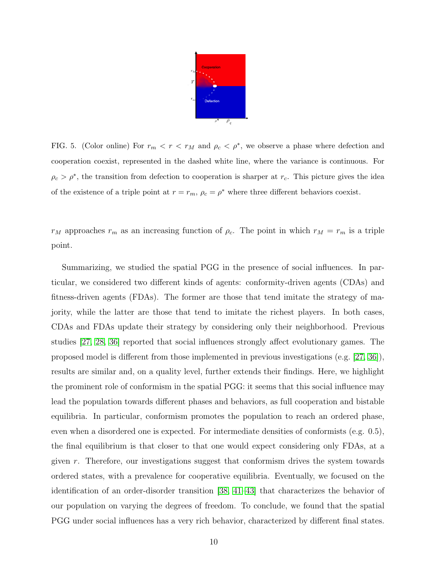

<span id="page-9-0"></span>FIG. 5. (Color online) For  $r_m < r < r_M$  and  $\rho_c < \rho^*$ , we observe a phase where defection and cooperation coexist, represented in the dashed white line, where the variance is continuous. For  $\rho_c > \rho^*$ , the transition from defection to cooperation is sharper at  $r_c$ . This picture gives the idea of the existence of a triple point at  $r = r_m$ ,  $\rho_c = \rho^*$  where three different behaviors coexist.

 $r_M$  approaches  $r_m$  as an increasing function of  $\rho_c$ . The point in which  $r_M = r_m$  is a triple point.

Summarizing, we studied the spatial PGG in the presence of social influences. In particular, we considered two different kinds of agents: conformity-driven agents (CDAs) and fitness-driven agents (FDAs). The former are those that tend imitate the strategy of majority, while the latter are those that tend to imitate the richest players. In both cases, CDAs and FDAs update their strategy by considering only their neighborhood. Previous studies [\[27,](#page-11-11) [28,](#page-11-12) [36\]](#page-12-5) reported that social influences strongly affect evolutionary games. The proposed model is different from those implemented in previous investigations (e.g. [\[27,](#page-11-11) [36\]](#page-12-5)), results are similar and, on a quality level, further extends their findings. Here, we highlight the prominent role of conformism in the spatial PGG: it seems that this social influence may lead the population towards different phases and behaviors, as full cooperation and bistable equilibria. In particular, conformism promotes the population to reach an ordered phase, even when a disordered one is expected. For intermediate densities of conformists (e.g. 0.5), the final equilibrium is that closer to that one would expect considering only FDAs, at a given  $r$ . Therefore, our investigations suggest that conformism drives the system towards ordered states, with a prevalence for cooperative equilibria. Eventually, we focused on the identification of an order-disorder transition [\[38,](#page-12-7) [41](#page-12-10)[–43\]](#page-12-11) that characterizes the behavior of our population on varying the degrees of freedom. To conclude, we found that the spatial PGG under social influences has a very rich behavior, characterized by different final states.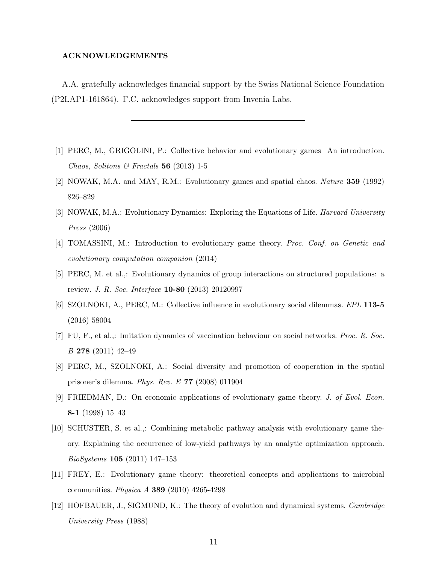## ACKNOWLEDGEMENTS

A.A. gratefully acknowledges financial support by the Swiss National Science Foundation (P2LAP1-161864). F.C. acknowledges support from Invenia Labs.

- <span id="page-10-0"></span>[1] PERC, M., GRIGOLINI, P.: Collective behavior and evolutionary games An introduction. Chaos, Solitons & Fractals 56 (2013) 1-5
- [2] NOWAK, M.A. and MAY, R.M.: Evolutionary games and spatial chaos. Nature 359 (1992) 826–829
- <span id="page-10-2"></span>[3] NOWAK, M.A.: Evolutionary Dynamics: Exploring the Equations of Life. Harvard University Press (2006)
- <span id="page-10-7"></span>[4] TOMASSINI, M.: Introduction to evolutionary game theory. Proc. Conf. on Genetic and evolutionary computation companion (2014)
- [5] PERC, M. et al.,: Evolutionary dynamics of group interactions on structured populations: a review. J. R. Soc. Interface 10-80 (2013) 20120997
- <span id="page-10-1"></span>[6] SZOLNOKI, A., PERC, M.: Collective influence in evolutionary social dilemmas. EPL 113-5 (2016) 58004
- <span id="page-10-3"></span>[7] FU, F., et al.,: Imitation dynamics of vaccination behaviour on social networks. Proc. R. Soc. B 278 (2011) 42–49
- <span id="page-10-6"></span>[8] PERC, M., SZOLNOKI, A.: Social diversity and promotion of cooperation in the spatial prisoner's dilemma. Phys. Rev. E 77 (2008) 011904
- [9] FRIEDMAN, D.: On economic applications of evolutionary game theory. J. of Evol. Econ. 8-1 (1998) 15–43
- [10] SCHUSTER, S. et al.,: Combining metabolic pathway analysis with evolutionary game theory. Explaining the occurrence of low-yield pathways by an analytic optimization approach. BioSystems 105 (2011) 147–153
- <span id="page-10-4"></span>[11] FREY, E.: Evolutionary game theory: theoretical concepts and applications to microbial communities. Physica A 389 (2010) 4265-4298
- <span id="page-10-5"></span>[12] HOFBAUER, J., SIGMUND, K.: The theory of evolution and dynamical systems. Cambridge University Press (1988)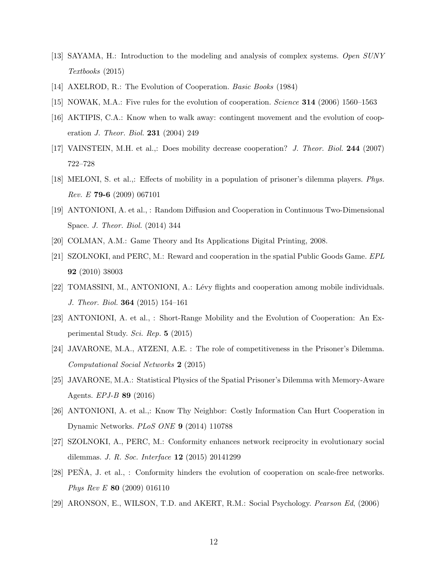- <span id="page-11-0"></span>[13] SAYAMA, H.: Introduction to the modeling and analysis of complex systems. Open SUNY Textbooks (2015)
- <span id="page-11-2"></span><span id="page-11-1"></span>[14] AXELROD, R.: The Evolution of Cooperation. Basic Books (1984)
- <span id="page-11-8"></span>[15] NOWAK, M.A.: Five rules for the evolution of cooperation. Science 314 (2006) 1560–1563
- [16] AKTIPIS, C.A.: Know when to walk away: contingent movement and the evolution of cooperation *J. Theor. Biol.* **231** (2004) 249
- [17] VAINSTEIN, M.H. et al.,: Does mobility decrease cooperation? J. Theor. Biol. 244 (2007) 722–728
- <span id="page-11-3"></span>[18] MELONI, S. et al.,: Effects of mobility in a population of prisoner's dilemma players. Phys. Rev. E 79-6 (2009) 067101
- <span id="page-11-4"></span>[19] ANTONIONI, A. et al., : Random Diffusion and Cooperation in Continuous Two-Dimensional Space. J. Theor. Biol. (2014) 344
- <span id="page-11-6"></span><span id="page-11-5"></span>[20] COLMAN, A.M.: Game Theory and Its Applications Digital Printing, 2008.
- [21] SZOLNOKI, and PERC, M.: Reward and cooperation in the spatial Public Goods Game. EPL 92 (2010) 38003
- [22] TOMASSINI, M., ANTONIONI, A.: Lévy flights and cooperation among mobile individuals. J. Theor. Biol. 364 (2015) 154–161
- [23] ANTONIONI, A. et al., : Short-Range Mobility and the Evolution of Cooperation: An Experimental Study. Sci. Rep. 5 (2015)
- <span id="page-11-10"></span>[24] JAVARONE, M.A., ATZENI, A.E. : The role of competitiveness in the Prisoner's Dilemma. Computational Social Networks 2 (2015)
- <span id="page-11-9"></span>[25] JAVARONE, M.A.: Statistical Physics of the Spatial Prisoner's Dilemma with Memory-Aware Agents. EPJ-B 89 (2016)
- <span id="page-11-7"></span>[26] ANTONIONI, A. et al.,: Know Thy Neighbor: Costly Information Can Hurt Cooperation in Dynamic Networks. PLoS ONE 9 (2014) 110788
- <span id="page-11-11"></span>[27] SZOLNOKI, A., PERC, M.: Conformity enhances network reciprocity in evolutionary social dilemmas. J. R. Soc. Interface 12 (2015) 20141299
- <span id="page-11-12"></span>[28] PENA, J. et al., : Conformity hinders the evolution of cooperation on scale-free networks. Phys Rev E 80 (2009) 016110
- <span id="page-11-13"></span>[29] ARONSON, E., WILSON, T.D. and AKERT, R.M.: Social Psychology. Pearson Ed, (2006)